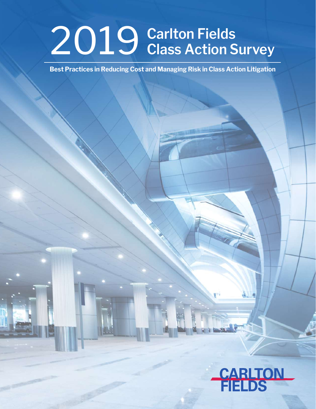# 2019 **Carlton Fields Class Action Survey**

**Best Practices in Reducing Cost and Managing Risk in Class Action Litigation**

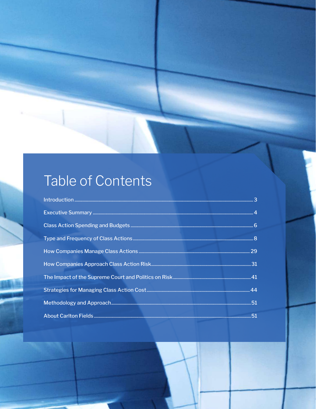## Table of Contents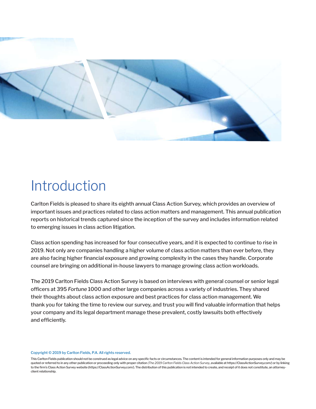

## Introduction

Carlton Fields is pleased to share its eighth annual Class Action Survey, which provides an overview of important issues and practices related to class action matters and management. This annual publication reports on historical trends captured since the inception of the survey and includes information related to emerging issues in class action litigation.

Class action spending has increased for four consecutive years, and it is expected to continue to rise in 2019. Not only are companies handling a higher volume of class action matters than ever before, they are also facing higher financial exposure and growing complexity in the cases they handle. Corporate counsel are bringing on additional in-house lawyers to manage growing class action workloads.

The 2019 Carlton Fields Class Action Survey is based on interviews with general counsel or senior legal officers at 395 *Fortune* 1000 and other large companies across a variety of industries. They shared their thoughts about class action exposure and best practices for class action management. We thank you for taking the time to review our survey, and trust you will find valuable information that helps your company and its legal department manage these prevalent, costly lawsuits both effectively and efficiently.

#### Copyright © 2019 by Carlton Fields, P.A. All rights reserved.

This Carlton Fields publication should not be construed as legal advice on any specific facts or circumstances. The content is intended for general information purposes only and may be quoted or referred to in any other publication or proceeding only with proper citation *(The 2019 Carlton Fields Class Action Survey*, available at https://ClassActionSurvey.com/) or by linking to the firm's Class Action Survey website (https://ClassActionSurvey.com/). The distribution of this publication is not intended to create, and receipt of it does not constitute, an attorneyclient relationship.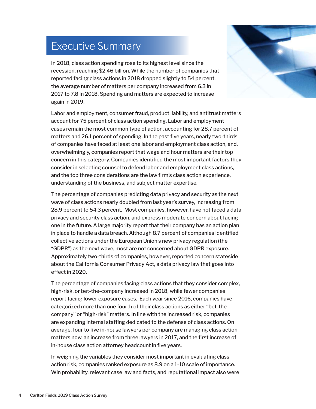### Executive Summary

In 2018, class action spending rose to its highest level since the recession, reaching \$2.46 billion. While the number of companies that reported facing class actions in 2018 dropped slightly to 54 percent, the average number of matters per company increased from 6.3 in 2017 to 7.8 in 2018. Spending and matters are expected to increase again in 2019.

Labor and employment, consumer fraud, product liability, and antitrust matters account for 75 percent of class action spending. Labor and employment cases remain the most common type of action, accounting for 28.7 percent of matters and 26.1 percent of spending. In the past five years, nearly two-thirds of companies have faced at least one labor and employment class action, and, overwhelmingly, companies report that wage and hour matters are their top concern in this category. Companies identified the most important factors they consider in selecting counsel to defend labor and employment class actions, and the top three considerations are the law firm's class action experience, understanding of the business, and subject matter expertise.

The percentage of companies predicting data privacy and security as the next wave of class actions nearly doubled from last year's survey, increasing from 28.9 percent to 54.3 percent. Most companies, however, have not faced a data privacy and security class action, and express moderate concern about facing one in the future. A large majority report that their company has an action plan in place to handle a data breach. Although 8.7 percent of companies identified collective actions under the European Union's new privacy regulation (the "GDPR") as the next wave, most are not concerned about GDPR exposure. Approximately two-thirds of companies, however, reported concern stateside about the California Consumer Privacy Act, a data privacy law that goes into effect in 2020.

The percentage of companies facing class actions that they consider complex, high-risk, or bet-the-company increased in 2018, while fewer companies report facing lower exposure cases. Each year since 2016, companies have categorized more than one fourth of their class actions as either "bet-thecompany" or "high-risk" matters. In line with the increased risk, companies are expanding internal staffing dedicated to the defense of class actions. On average, four to five in-house lawyers per company are managing class action matters now, an increase from three lawyers in 2017, and the first increase of in-house class action attorney headcount in five years.

In weighing the variables they consider most important in evaluating class action risk, companies ranked exposure as 8.9 on a 1-10 scale of importance. Win probability, relevant case law and facts, and reputational impact also were

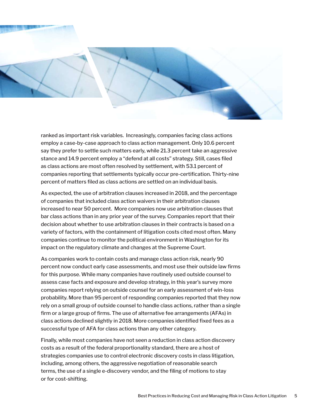

ranked as important risk variables. Increasingly, companies facing class actions employ a case-by-case approach to class action management. Only 10.6 percent say they prefer to settle such matters early, while 21.3 percent take an aggressive stance and 14.9 percent employ a "defend at all costs" strategy. Still, cases filed as class actions are most often resolved by settlement, with 53.1 percent of companies reporting that settlements typically occur pre-certification. Thirty-nine percent of matters filed as class actions are settled on an individual basis.

As expected, the use of arbitration clauses increased in 2018, and the percentage of companies that included class action waivers in their arbitration clauses increased to near 50 percent. More companies now use arbitration clauses that bar class actions than in any prior year of the survey. Companies report that their decision about whether to use arbitration clauses in their contracts is based on a variety of factors, with the containment of litigation costs cited most often. Many companies continue to monitor the political environment in Washington for its impact on the regulatory climate and changes at the Supreme Court.

As companies work to contain costs and manage class action risk, nearly 90 percent now conduct early case assessments, and most use their outside law firms for this purpose. While many companies have routinely used outside counsel to assess case facts and exposure and develop strategy, in this year's survey more companies report relying on outside counsel for an early assessment of win-loss probability. More than 95 percent of responding companies reported that they now rely on a small group of outside counsel to handle class actions, rather than a single firm or a large group of firms. The use of alternative fee arrangements (AFAs) in class actions declined slightly in 2018. More companies identified fixed fees as a successful type of AFA for class actions than any other category.

Finally, while most companies have not seen a reduction in class action discovery costs as a result of the federal proportionality standard, there are a host of strategies companies use to control electronic discovery costs in class litigation, including, among others, the aggressive negotiation of reasonable search terms, the use of a single e-discovery vendor, and the filing of motions to stay or for cost-shifting.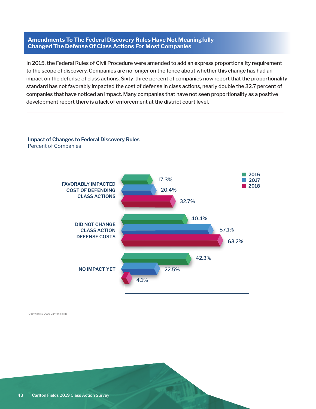#### **Amendments To The Federal Discovery Rules Have Not Meaningfully Changed The Defense Of Class Actions For Most Companies**

In 2015, the Federal Rules of Civil Procedure were amended to add an express proportionality requirement to the scope of discovery. Companies are no longer on the fence about whether this change has had an impact on the defense of class actions. Sixty-three percent of companies now report that the proportionality standard has not favorably impacted the cost of defense in class actions, nearly double the 32.7 percent of companies that have noticed an impact. Many companies that have not seen proportionality as a positive development report there is a lack of enforcement at the district court level.

### **Impact of Changes to Federal Discovery Rules Impact of Changes to Federal Discovery Rules**



Percent of Companies Percent of Companies

Copyright © 2019 Carlton Fields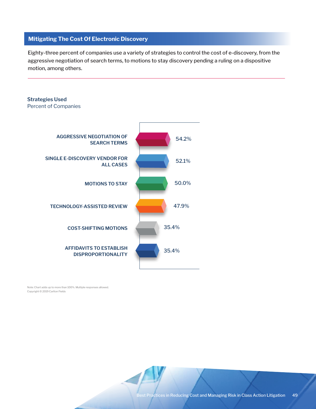#### **Mitigating The Cost Of Electronic Discovery**

**Strategies Used**

Eighty-three percent of companies use a variety of strategies to control the cost of e-discovery, from the aggressive negotiation of search terms, to motions to stay discovery pending a ruling on a dispositive motion, among others.

### AGGRESSIVE NEGOTIATION OF **AGGRESSIVE NEGOTIATION OF** SEARCH TERMS **SEARCH TERMS** SINGLE E-DISCOVERY VENDOR FOR **SINGLE E-DISCOVERY VENDOR FOR** ALL CASES **ALL CASES** MOTIONS TO STAY **MOTIONS TO STAY** TECHNOLOGY ASSISTED REVIEW **TECHNOLOGY-ASSISTED REVIEW** COST-SHIFTING MOTIONS **COST-SHIFTING MOTIONS** AFFIDAVITS TO ESTABLISH **AFFIDAVITS TO ESTABLISH**  DISPROPORTIONALITY **DISPROPORTIONALITY**Percent of Companies 54.2% 52.1% 50.0% 47.9% 35.4% 35.4%

Note: Chart adds up to more than 100%. Multiple responses allowed.<br>Conveight @ 2010 Carlton Fields Copyright © 2019 Carlton Fields

est Practices in Reducing Cost and Managing Risk in Class Action Litigation 49